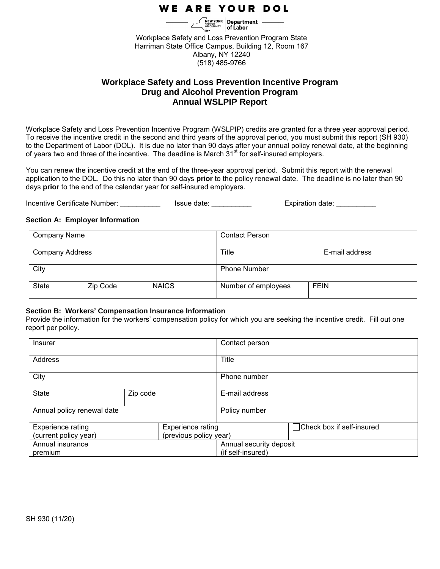# **WE ARE YOUR DOL**

Workplace Safety and Loss Prevention Program State Harriman State Office Campus, Building 12, Room 167 Albany, NY 12240 (518) 485-9766

# **Workplace Safety and Loss Prevention Incentive Program Drug and Alcohol Prevention Program Annual WSLPIP Report**

Workplace Safety and Loss Prevention Incentive Program (WSLPIP) credits are granted for a three year approval period. To receive the incentive credit in the second and third years of the approval period, you must submit this report (SH 930) to the Department of Labor (DOL). It is due no later than 90 days after your annual policy renewal date, at the beginning of years two and three of the incentive. The deadline is March  $31<sup>st</sup>$  for self-insured employers.

You can renew the incentive credit at the end of the three-year approval period. Submit this report with the renewal application to the DOL. Do this no later than 90 days **prior** to the policy renewal date. The deadline is no later than 90 days **prior** to the end of the calendar year for self-insured employers.

Incentive Certificate Number: \_\_\_\_\_\_\_\_\_\_\_\_\_ Issue date: \_\_\_\_\_\_\_\_\_\_\_ Expiration date: \_\_\_\_\_\_\_\_\_

#### **Section A: Employer Information**

| <b>Company Name</b>    |          |              | <b>Contact Person</b> |                |
|------------------------|----------|--------------|-----------------------|----------------|
| <b>Company Address</b> |          |              | Title                 | E-mail address |
| City                   |          |              | <b>Phone Number</b>   |                |
| <b>State</b>           | Zip Code | <b>NAICS</b> | Number of employees   | <b>FEIN</b>    |

#### **Section B: Workers' Compensation Insurance Information**

Provide the information for the workers' compensation policy for which you are seeking the incentive credit. Fill out one report per policy.

| Insurer                                         |  |                          | Contact person          |                            |
|-------------------------------------------------|--|--------------------------|-------------------------|----------------------------|
| Address                                         |  |                          | Title                   |                            |
| City                                            |  |                          | Phone number            |                            |
| <b>State</b><br>Zip code                        |  | E-mail address           |                         |                            |
| Annual policy renewal date                      |  |                          | Policy number           |                            |
| <b>Experience rating</b>                        |  | <b>Experience rating</b> |                         | □Check box if self-insured |
| (current policy year)<br>(previous policy year) |  |                          |                         |                            |
| Annual insurance                                |  |                          | Annual security deposit |                            |
| premium                                         |  |                          | (if self-insured)       |                            |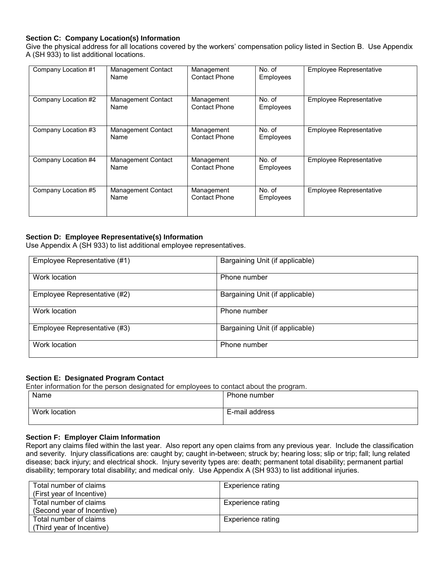### **Section C: Company Location(s) Information**

Give the physical address for all locations covered by the workers' compensation policy listed in Section B. Use Appendix A (SH 933) to list additional locations.

| Company Location #1 | <b>Management Contact</b><br>Name | Management<br><b>Contact Phone</b> | No. of<br>Employees | <b>Employee Representative</b> |
|---------------------|-----------------------------------|------------------------------------|---------------------|--------------------------------|
| Company Location #2 | Management Contact<br>Name        | Management<br><b>Contact Phone</b> | No. of<br>Employees | <b>Employee Representative</b> |
| Company Location #3 | <b>Management Contact</b><br>Name | Management<br><b>Contact Phone</b> | No. of<br>Employees | <b>Employee Representative</b> |
| Company Location #4 | <b>Management Contact</b><br>Name | Management<br><b>Contact Phone</b> | No. of<br>Employees | <b>Employee Representative</b> |
| Company Location #5 | <b>Management Contact</b><br>Name | Management<br><b>Contact Phone</b> | No. of<br>Employees | <b>Employee Representative</b> |

## **Section D: Employee Representative(s) Information**

Use Appendix A (SH 933) to list additional employee representatives.

| Employee Representative (#1) | Bargaining Unit (if applicable) |
|------------------------------|---------------------------------|
| Work location                | Phone number                    |
| Employee Representative (#2) | Bargaining Unit (if applicable) |
| Work location                | Phone number                    |
| Employee Representative (#3) | Bargaining Unit (if applicable) |
| Work location                | Phone number                    |

#### **Section E: Designated Program Contact**

Enter information for the person designated for employees to contact about the program.

| Name          | Phone number   |
|---------------|----------------|
|               |                |
| Work location | E-mail address |
|               |                |

#### **Section F: Employer Claim Information**

Report any claims filed within the last year. Also report any open claims from any previous year. Include the classification and severity. Injury classifications are: caught by; caught in-between; struck by; hearing loss; slip or trip; fall; lung related disease; back injury; and electrical shock. Injury severity types are: death; permanent total disability; permanent partial disability; temporary total disability; and medical only. Use Appendix A (SH 933) to list additional injuries.

| Total number of claims<br>(First year of Incentive)  | Experience rating |
|------------------------------------------------------|-------------------|
| Total number of claims<br>(Second year of Incentive) | Experience rating |
| Total number of claims<br>(Third year of Incentive)  | Experience rating |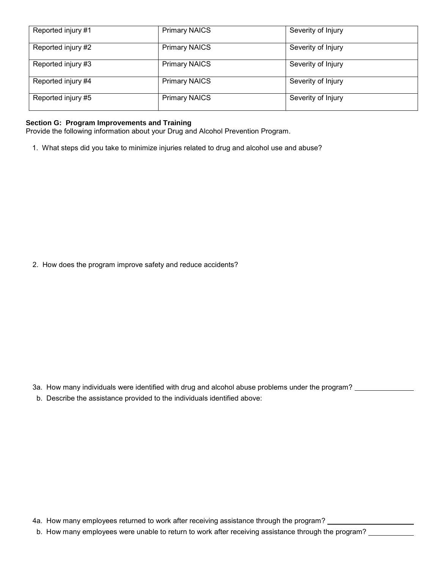| Reported injury #1 | <b>Primary NAICS</b> | Severity of Injury |
|--------------------|----------------------|--------------------|
| Reported injury #2 | <b>Primary NAICS</b> | Severity of Injury |
| Reported injury #3 | <b>Primary NAICS</b> | Severity of Injury |
| Reported injury #4 | <b>Primary NAICS</b> | Severity of Injury |
| Reported injury #5 | <b>Primary NAICS</b> | Severity of Injury |

# **Section G: Program Improvements and Training**

Provide the following information about your Drug and Alcohol Prevention Program.

1. What steps did you take to minimize injuries related to drug and alcohol use and abuse?

2. How does the program improve safety and reduce accidents?

- 3a. How many individuals were identified with drug and alcohol abuse problems under the program?
- b. Describe the assistance provided to the individuals identified above:

4a. How many employees returned to work after receiving assistance through the program?

b. How many employees were unable to return to work after receiving assistance through the program? \_\_\_\_\_\_\_\_\_\_